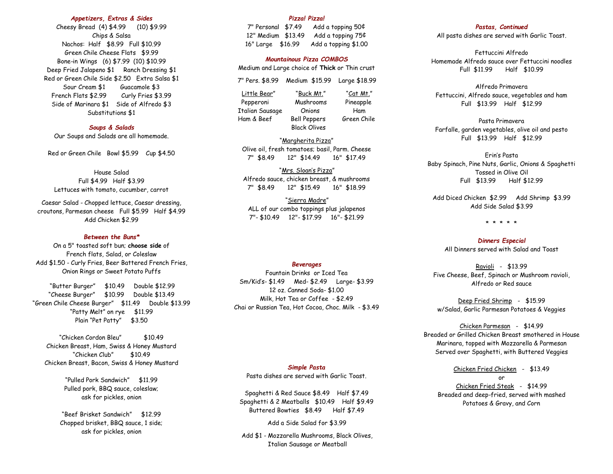# *Appetizers, Extras & Sides*

Cheesy Bread (4) \$4.99 (10) \$9.99 Chips & Salsa Nachos: Half \$8.99 Full \$10.99 Green Chile Cheese Flats \$9.99 Bone-in Wings (6) \$7.99 (10) \$10.99 Deep Fried Jalapeno \$1 Ranch Dressing \$1 Red or Green Chile Side \$2.50 Extra Salsa \$1 Sour Cream \$1 Guacamole \$3 French Flats \$2.99 Curly Fries \$3.99 Side of Marinara \$1 Side of Alfredo \$3 Substitutions \$1

# *Soups & Salads*

Our Soups and Salads are all homemade.

Red or Green Chile Bowl \$5.99 Cup \$4.50

# House Salad

Full \$4.99 Half \$3.99 Lettuces with tomato, cucumber, carrot

Caesar Salad - Chopped lettuce, Caesar dressing, croutons, Parmesan cheese Full \$5.99 Half \$4.99 Add Chicken \$2.99

# *Between the Buns\**

On a 5" toasted soft bun; **choose side** of French flats, Salad, or Coleslaw Add \$1.50 - Curly Fries, Beer Battered French Fries, Onion Rings or Sweet Potato Puffs

"Butter Burger" \$10.49 Double \$12.99 "Cheese Burger" \$10.99 Double \$13.49 "Green Chile Cheese Burger" \$11.49 Double \$13.99 "Patty Melt" on rye \$11.99 Plain "Pet Patty" \$3.50

"Chicken Cordon Bleu" \$10.49 Chicken Breast, Ham, Swiss & Honey Mustard "Chicken Club" \$10.49 Chicken Breast, Bacon, Swiss & Honey Mustard

> "Pulled Pork Sandwich" \$11.99 Pulled pork, BBQ sauce, coleslaw; ask for pickles, onion

"Beef Brisket Sandwich" \$12.99 Chopped brisket, BBQ sauce, 1 side; ask for pickles, onion

# *Pizza! Pizza!*

7" Personal \$7.49 Add a topping 50¢ 12" Medium \$13.49 Add a topping 75¢ 16" Large \$16.99 Add a topping \$1.00

# *Mountainous Pizza COMBOS*

Medium and Large choice of **Thick** or Thin crust

7" Pers. \$8.99 Medium \$15.99 Large \$18.99

Little Bear" "Buck Mt." "Cat Mt." Pepperoni Mushrooms Pineapple Italian Sausage Onions Ham Ham & Beef Bell Peppers Green Chile Black Olives

"Margherita Pizza" Olive oil, fresh tomatoes; basil, Parm. Cheese 7" \$8.49 12" \$14.49 16" \$17.49

"Mrs. Sloan's Pizza" Alfredo sauce, chicken breast, & mushrooms 7" \$8.49 12" \$15.49 16" \$18.99

"Sierra Madre" ALL of our combo toppings plus jalapenos 7"- \$10.49 12"- \$17.99 16"- \$21.99

### *Beverages*

Fountain Drinks or Iced Tea Sm/Kid's- \$1.49 Med- \$2.49 Large- \$3.99 12 oz. Canned Soda- \$1.00 Milk, Hot Tea or Coffee - \$2.49 Chai or Russian Tea, Hot Cocoa, Choc. Milk - \$3.49

### *Simple Pasta*

Pasta dishes are served with Garlic Toast.

Spaghetti & Red Sauce \$8.49 Half \$7.49 Spaghetti & 2 Meatballs \$10.49 Half \$9.49 Buttered Bowties \$8.49 Half \$7.49

Add a Side Salad for \$3.99

Add \$1 - Mozzarella Mushrooms, Black Olives, Italian Sausage or Meatball

# *Pastas, Continued*

All pasta dishes are served with Garlic Toast.

Fettuccini Alfredo Homemade Alfredo sauce over Fettuccini noodles Full \$11.99 Half \$10.99

Alfredo Primavera Fettuccini, Alfredo sauce, vegetables and ham Full \$13.99 Half \$12.99

Pasta Primavera Farfalle, garden vegetables, olive oil and pesto Full \$13.99 Half \$12.99

Erin's Pasta Baby Spinach, Pine Nuts, Garlic, Onions & Spaghetti Tossed in Olive Oil Full \$13.99 Half \$12.99

Add Diced Chicken \$2.99 Add Shrimp \$3.99 Add Side Salad \$3.99

\* \* \* \* \*

*Dinners Especial* All Dinners served with Salad and Toast

Ravioli - \$13.99 Five Cheese, Beef, Spinach or Mushroom ravioli, Alfredo or Red sauce

Deep Fried Shrimp - \$15.99 w/Salad, Garlic Parmesan Potatoes & Veggies

Chicken Parmesan - \$14.99 Breaded or Grilled Chicken Breast smothered in House Marinara, topped with Mozzarella & Parmesan Served over Spaghetti, with Buttered Veggies

Chicken Fried Chicken - \$13.49 or Chicken Fried Steak - \$14.99 Breaded and deep-fried, served with mashed Potatoes & Gravy, and Corn